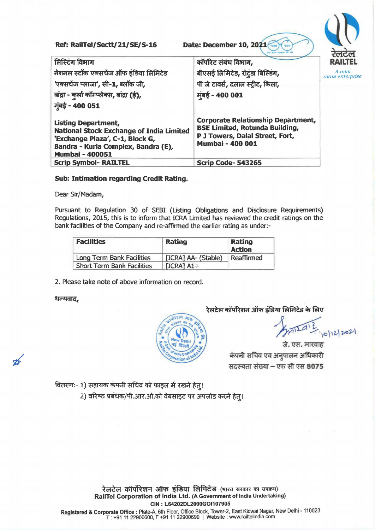Ref: **RailTel/Sectt/21/SE/S-16** Date: December 10, 20 लिस्टिंग विभाग लिस्टिंग विभाग<br>नेशनल स्टॉक एक्सचेंज ऑफ इंडिया लिमिटेड नेशनल स्टॉक एक्सचेंज ऑफ इंडिया लि<br>'एक्सचेंज प्लाजा', सी<mark>-1,</mark> ब्लॉक जी, 'एक्सचेंज प्लाजा', सी-1, ब्लॉक जी,<br>बांद्रा - कर्ला कॉम्प्लेक्स, बांद्रा (ई), **मुंबई - 400 051** Listing Department, National stock Exchange of India Limited 'Exchange Plaza', C-1, Block G, Bandra - Kurla Complex, Bandra (E), Mumbai - 400051 कॉर्पोरेट संबंध विभाग, बीएसई लिमिटेड, रोटंडा बिल्डिंग, पी जे टावर्स, दलाल स्ट्रीट, किला, मुंबई - 400 001 **Corporate Relationship Department, BSE Limited, Rotunda Building, P J Towers, Dalal Street, Fort, Mumbai- 400 001 Scrip Code-543265** A *mini*  ratna enterprise

#### **Sub: Intimation regarding Credit Rating.**

Dear Sir/Madam,

Pursuant to Regulation 30 of SEBI (Listing Obligations and Disclosure Requirements) Regulations, 2015, this is to inform that ICRA Limited has reviewed the credit ratings on the bank facilities of the Company and re-affirmed the earlier rating as under:-

| <b>Facilities</b>                 | <b>Rating</b>       | Rating<br><b>Action</b> |
|-----------------------------------|---------------------|-------------------------|
| Long Term Bank Facilities         | [ICRA] AA- (Stable) | Reaffirmed              |
| <b>Short Term Bank Facilities</b> | $[ICRA] A1+$        |                         |

2. Please take note of above information on record.

#### धन्यवाद,



## रेलटेल कॉर्पोरेशन ऑफ इंडिया लिमिटेड के लिए

 $0|12|2021$ 

जे. एस. मारवाह जे. एस. मारवाह<br>कंपनी सचिव एव अनुपालन अधिकारी कंपनी सचिव एव अनुपालन अधिकारी<br>सदस्यता संख्या <del>–</del> एफ सी एस **8075** 

वितरण:- 1) सहायक कंपनी सचिव को फाइल में रखने हेत्।

2) वरिष्ठ प्रबंधक/पी.आर.ओ.को वेबसाइट पर अपलोड करने हेत्।

रेलटेल कॉर्पोरेशन ऑफ इंडिया लिमिटेड (भारत सरकार का उपक्रम) **RailTel Corporation of India Ltd. (A Government of India Undertaking) CIN** : **L64202DL2000GOl107905** 

**Registered** & **Corporate Office:** Plate-A, 6th Floor, Office Block, Tower-2, East Kidwai Nagar, New Delhi -110023 T: +91 11 22900600, F +91 11 22900699 I Website: www.railtelindia.com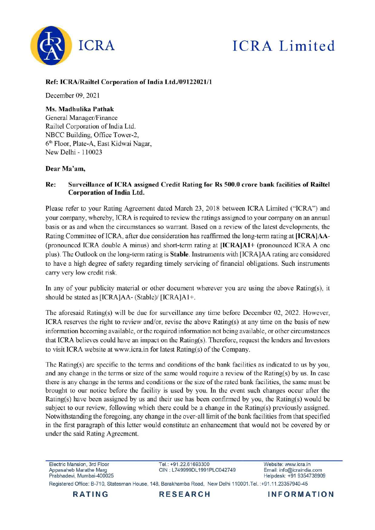

# **ICRA** Limited

### Ref: ICRA/Railtel Corporation of India Ltd./09122021/1

December 09, 2021

# Ms. Madhulika Pathak

General Manager/Finance Railtel Corporation of India Ltd. NBCC Building, Office Tower-2. 6<sup>th</sup> Floor, Plate-A, East Kidwai Nagar, New Delhi - 110023

#### Dear Ma'am,

#### Re: Surveillance of ICRA assigned Credit Rating for Rs 500.0 crore bank facilities of Railtel **Corporation of India Ltd.**

Please refer to your Rating Agreement dated March 23, 2018 between ICRA Limited ("ICRA") and your company, whereby, ICRA is required to review the ratings assigned to your company on an annual basis or as and when the circumstances so warrant. Based on a review of the latest developments, the Rating Committee of ICRA, after due consideration has reaffirmed the long-term rating at [ICRA]AA-(pronounced ICRA double A minus) and short-term rating at **IICRA**]A1+ (pronounced ICRA A one plus). The Outlook on the long-term rating is **Stable**. Instruments with [ICRA]AA rating are considered to have a high degree of safety regarding timely servicing of financial obligations. Such instruments carry very low credit risk.

In any of your publicity material or other document wherever you are using the above Rating(s), it should be stated as [ICRA]AA- (Stable)/ [ICRA]A1+.

The aforesaid Rating(s) will be due for surveillance any time before December 02, 2022. However, ICRA reserves the right to review and/or, revise the above Rating(s) at any time on the basis of new information becoming available, or the required information not being available, or other circumstances that ICRA believes could have an impact on the Rating(s). Therefore, request the lenders and Investors to visit ICRA website at www.icra.in for latest Rating(s) of the Company.

The Rating(s) are specific to the terms and conditions of the bank facilities as indicated to us by you, and any change in the terms or size of the same would require a review of the Rating(s) by us. In case there is any change in the terms and conditions or the size of the rated bank facilities, the same must be brought to our notice before the facility is used by you. In the event such changes occur after the Rating(s) have been assigned by us and their use has been confirmed by you, the Rating(s) would be subject to our review, following which there could be a change in the Rating(s) previously assigned. Notwithstanding the foregoing, any change in the over-all limit of the bank facilities from that specified in the first paragraph of this letter would constitute an enhancement that would not be covered by or under the said Rating Agreement.

Electric Mansion, 3rd Floor Appasaheb Marathe Marg Prabhadevi, Mumbai-400025 Tel.: +91.22.61693300 CIN: L749999DL1991PLC042749 Website: www.icra.in Email: info@icraindia.com Helpdesk: +91 9354738909

Registered Office: B-710, Statesman House, 148, Barakhamba Road, New Delhi 110001.Tel.:+91.11.23357940-45

**RESEARCH** 

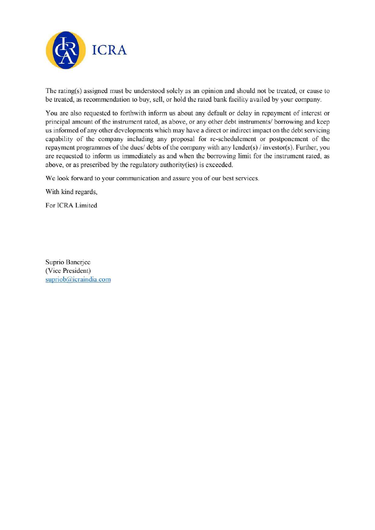

The rating(s) assigned must be understood solely as an opinion and should not be treated, or cause to be treated, as recommendation to buy, sell, or hold the rated bank facility availed by your company.

You are also requested to forthwith inform us about any default or delay in repayment of interest or principal amount of the instrument rated, as above, or any other debt instruments/ borrowing and keep us informed of any other developments which may have a direct or indirect impact on the debt servicing capability of the company including any proposal for re-schedulement or postponement of the repayment programmes of the dues/ debts of the company with any lender(s) / investor(s). Further, you are requested to inform us immediately as and when the borrowing limit for the instrument rated, as above, or as prescribed by the regulatory authority (ies) is exceeded.

We look forward to your communication and assure you of our best services.

With kind regards,

For ICRA Limited

Suprio Banerjee (Vice President) supriob@icraindia.com